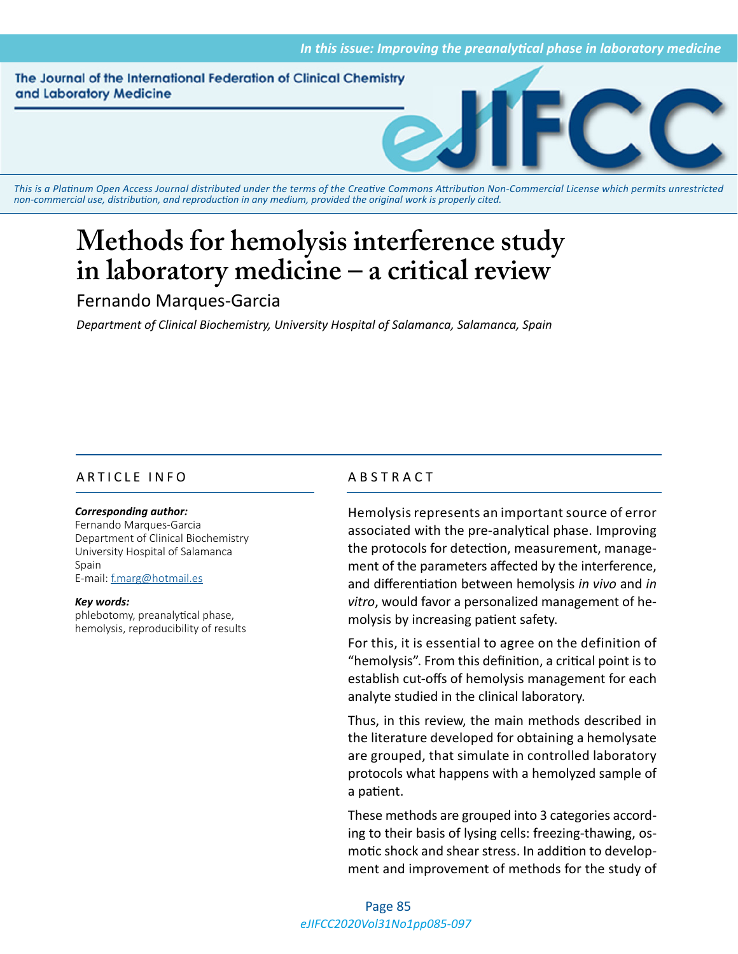The Journal of the International Federation of Clinical Chemistry and Laboratory Medicine



*This is a Platinum Open Access Journal distributed under the terms of the [Creative Commons Attribution Non-Commercial License](https://creativecommons.org/licenses/by-nc/4.0/) which permits unrestricted non-commercial use, distribution, and reproduction in any medium, provided the original work is properly cited.*

# **Methods for hemolysis interference study in laboratory medicine – a critical review**

# Fernando Marques-Garcia

*Department of Clinical Biochemistry, University Hospital of Salamanca, Salamanca, Spain*

# ARTICLE INFO ABSTRACT

#### *Corresponding author:*

Fernando Marques-Garcia Department of Clinical Biochemistry University Hospital of Salamanca Spain E-mail: [f.marg@hotmail.es](mailto:f.marg@hotmail.es)

*Key words:* phlebotomy, preanalytical phase, hemolysis, reproducibility of results

Hemolysis represents an important source of error associated with the pre-analytical phase. Improving the protocols for detection, measurement, management of the parameters affected by the interference, and differentiation between hemolysis *in vivo* and *in vitro*, would favor a personalized management of hemolysis by increasing patient safety.

For this, it is essential to agree on the definition of "hemolysis". From this definition, a critical point is to establish cut-offs of hemolysis management for each analyte studied in the clinical laboratory.

Thus, in this review, the main methods described in the literature developed for obtaining a hemolysate are grouped, that simulate in controlled laboratory protocols what happens with a hemolyzed sample of a patient.

These methods are grouped into 3 categories according to their basis of lysing cells: freezing-thawing, osmotic shock and shear stress. In addition to development and improvement of methods for the study of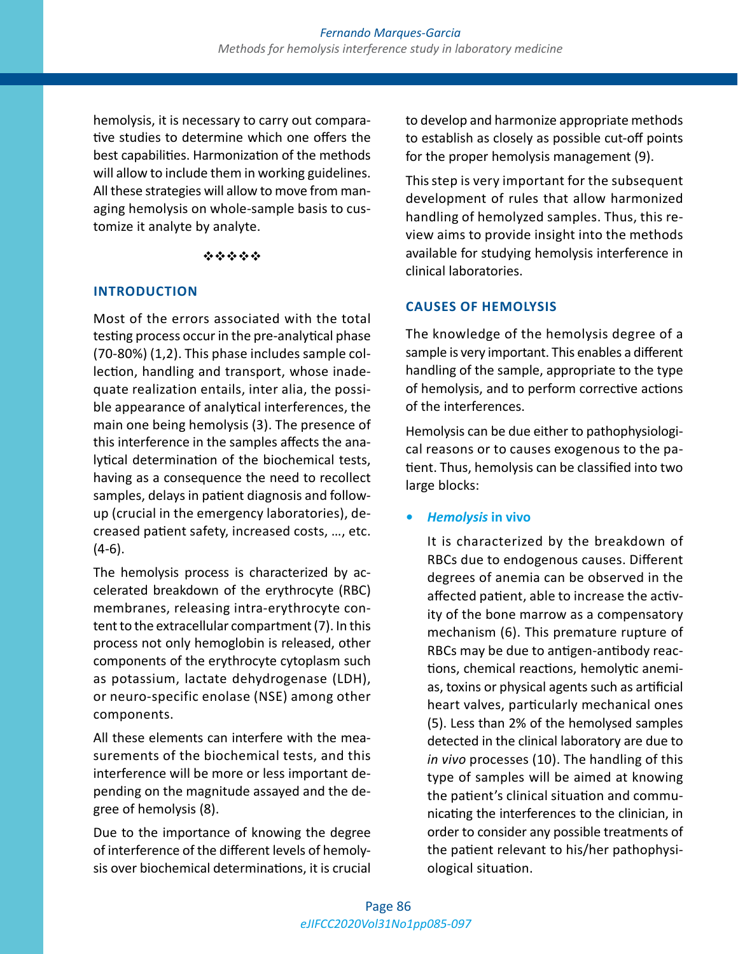hemolysis, it is necessary to carry out comparative studies to determine which one offers the best capabilities. Harmonization of the methods will allow to include them in working guidelines. All these strategies will allow to move from managing hemolysis on whole-sample basis to customize it analyte by analyte.

#### \*\*\*\*\*

### **INTRODUCTION**

Most of the errors associated with the total testing process occur in the pre-analytical phase (70-80%) (1,2). This phase includes sample collection, handling and transport, whose inadequate realization entails, inter alia, the possible appearance of analytical interferences, the main one being hemolysis (3). The presence of this interference in the samples affects the analytical determination of the biochemical tests, having as a consequence the need to recollect samples, delays in patient diagnosis and followup (crucial in the emergency laboratories), decreased patient safety, increased costs, …, etc. (4-6).

The hemolysis process is characterized by accelerated breakdown of the erythrocyte (RBC) membranes, releasing intra-erythrocyte content to the extracellular compartment (7). In this process not only hemoglobin is released, other components of the erythrocyte cytoplasm such as potassium, lactate dehydrogenase (LDH), or neuro-specific enolase (NSE) among other components.

All these elements can interfere with the measurements of the biochemical tests, and this interference will be more or less important depending on the magnitude assayed and the degree of hemolysis (8).

Due to the importance of knowing the degree of interference of the different levels of hemolysis over biochemical determinations, it is crucial to develop and harmonize appropriate methods to establish as closely as possible cut-off points for the proper hemolysis management (9).

This step is very important for the subsequent development of rules that allow harmonized handling of hemolyzed samples. Thus, this review aims to provide insight into the methods available for studying hemolysis interference in clinical laboratories.

# **CAUSES OF HEMOLYSIS**

The knowledge of the hemolysis degree of a sample is very important. This enables a different handling of the sample, appropriate to the type of hemolysis, and to perform corrective actions of the interferences.

Hemolysis can be due either to pathophysiological reasons or to causes exogenous to the patient. Thus, hemolysis can be classified into two large blocks:

### *• Hemolysis* **in vivo**

It is characterized by the breakdown of RBCs due to endogenous causes. Different degrees of anemia can be observed in the affected patient, able to increase the activity of the bone marrow as a compensatory mechanism (6). This premature rupture of RBCs may be due to antigen-antibody reactions, chemical reactions, hemolytic anemias, toxins or physical agents such as artificial heart valves, particularly mechanical ones (5). Less than 2% of the hemolysed samples detected in the clinical laboratory are due to *in vivo* processes (10). The handling of this type of samples will be aimed at knowing the patient's clinical situation and communicating the interferences to the clinician, in order to consider any possible treatments of the patient relevant to his/her pathophysiological situation.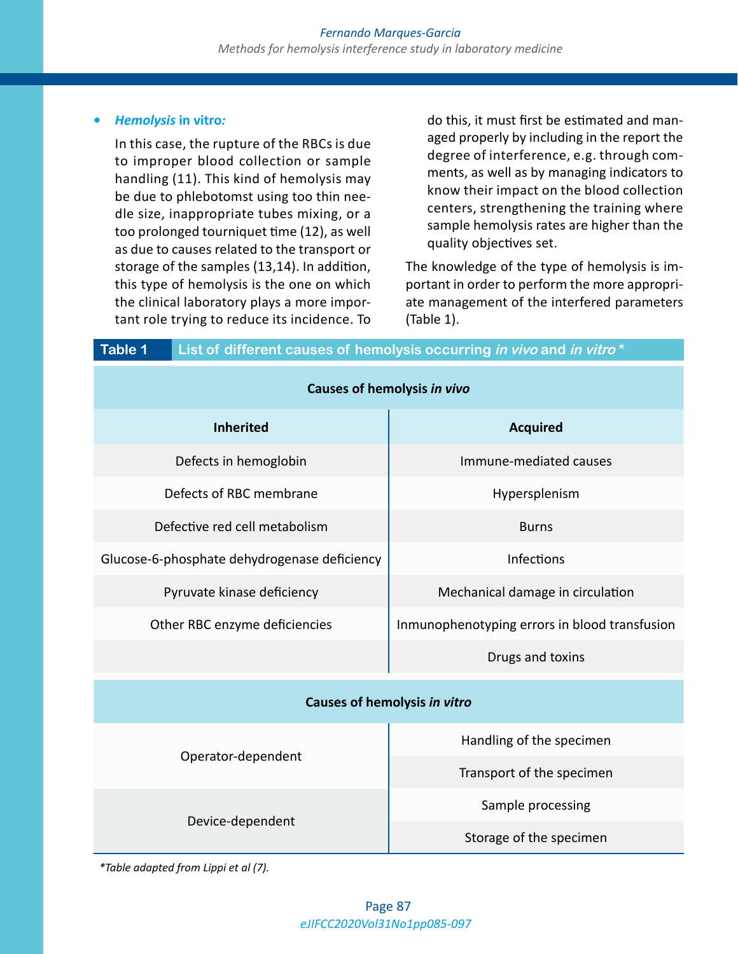#### *• Hemolysis* **in vitro***:*

In this case, the rupture of the RBCs is due to improper blood collection or sample handling (11). This kind of hemolysis may be due to phlebotomst using too thin needle size, inappropriate tubes mixing, or a too prolonged tourniquet time (12), as well as due to causes related to the transport or storage of the samples (13,14). In addition, this type of hemolysis is the one on which the clinical laboratory plays a more important role trying to reduce its incidence. To do this, it must first be estimated and managed properly by including in the report the degree of interference, e.g. through comments, as well as by managing indicators to know their impact on the blood collection centers, strengthening the training where sample hemolysis rates are higher than the quality objectives set.

The knowledge of the type of hemolysis is important in order to perform the more appropriate management of the interfered parameters (Table 1).

| Table 1                       | List of different causes of hemolysis occurring in vivo and in vitro* |                                               |  |  |  |  |
|-------------------------------|-----------------------------------------------------------------------|-----------------------------------------------|--|--|--|--|
| Causes of hemolysis in vivo   |                                                                       |                                               |  |  |  |  |
| <b>Inherited</b>              |                                                                       | <b>Acquired</b>                               |  |  |  |  |
|                               | Defects in hemoglobin                                                 | Immune-mediated causes                        |  |  |  |  |
| Defects of RBC membrane       |                                                                       | Hypersplenism                                 |  |  |  |  |
| Defective red cell metabolism |                                                                       | <b>Burns</b>                                  |  |  |  |  |
|                               | Glucose-6-phosphate dehydrogenase deficiency                          | <b>Infections</b>                             |  |  |  |  |
| Pyruvate kinase deficiency    |                                                                       | Mechanical damage in circulation              |  |  |  |  |
| Other RBC enzyme deficiencies |                                                                       | Inmunophenotyping errors in blood transfusion |  |  |  |  |
|                               |                                                                       | Drugs and toxins                              |  |  |  |  |
| Causes of hemolysis in vitro  |                                                                       |                                               |  |  |  |  |
|                               | Operator-dependent                                                    | Handling of the specimen                      |  |  |  |  |
|                               |                                                                       | Transport of the specimen                     |  |  |  |  |
|                               | Device-dependent                                                      | Sample processing                             |  |  |  |  |
|                               |                                                                       | Storage of the specimen                       |  |  |  |  |

*\*Table adapted from Lippi et al (7).*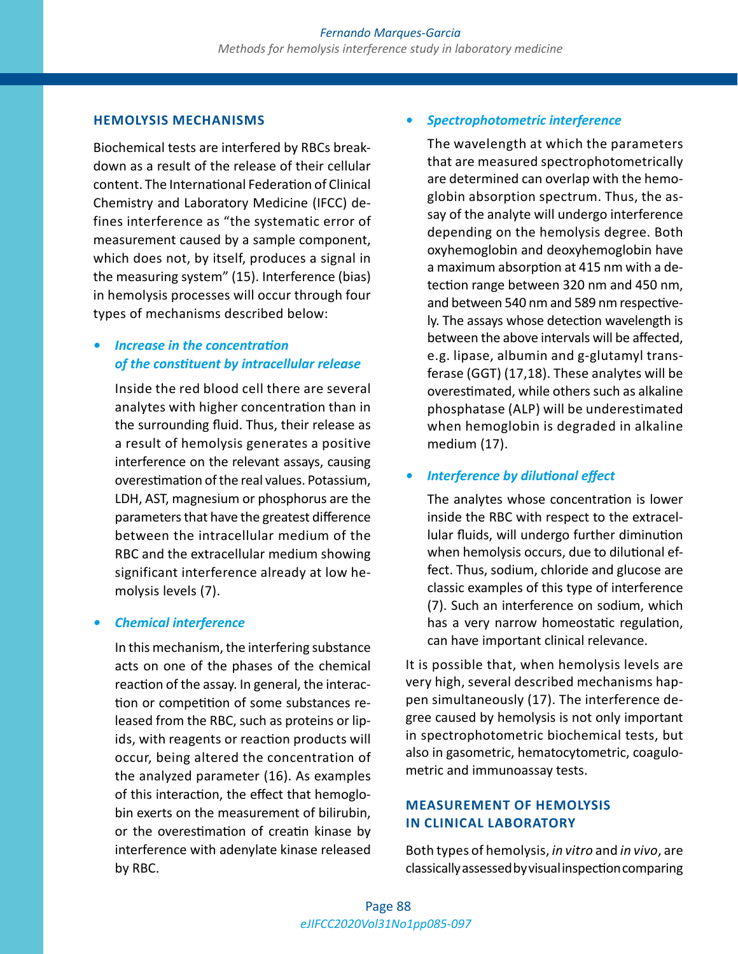#### **HEMOLYSIS MECHANISMS**

Biochemical tests are interfered by RBCs breakdown as a result of the release of their cellular content. The International Federation of Clinical Chemistry and Laboratory Medicine (IFCC) defines interference as "the systematic error of measurement caused by a sample component, which does not, by itself, produces a signal in the measuring system" (15). Interference (bias) in hemolysis processes will occur through four types of mechanisms described below:

# *• Increase in the concentration of the constituent by intracellular release*

Inside the red blood cell there are several analytes with higher concentration than in the surrounding fluid. Thus, their release as a result of hemolysis generates a positive interference on the relevant assays, causing overestimation of the real values. Potassium, LDH, AST, magnesium or phosphorus are the parameters that have the greatest difference between the intracellular medium of the RBC and the extracellular medium showing significant interference already at low hemolysis levels (7).

#### *• Chemical interference*

In this mechanism, the interfering substance acts on one of the phases of the chemical reaction of the assay. In general, the interaction or competition of some substances released from the RBC, such as proteins or lipids, with reagents or reaction products will occur, being altered the concentration of the analyzed parameter (16). As examples of this interaction, the effect that hemoglobin exerts on the measurement of bilirubin, or the overestimation of creatin kinase by interference with adenylate kinase released by RBC.

#### *• Spectrophotometric interference*

The wavelength at which the parameters that are measured spectrophotometrically are determined can overlap with the hemoglobin absorption spectrum. Thus, the assay of the analyte will undergo interference depending on the hemolysis degree. Both oxyhemoglobin and deoxyhemoglobin have a maximum absorption at 415 nm with a detection range between 320 nm and 450 nm, and between 540 nm and 589 nm respectively. The assays whose detection wavelength is between the above intervals will be affected, e.g. lipase, albumin and g-glutamyl transferase (GGT) (17,18). These analytes will be overestimated, while others such as alkaline phosphatase (ALP) will be underestimated when hemoglobin is degraded in alkaline medium (17).

#### *• Interference by dilutional effect*

The analytes whose concentration is lower inside the RBC with respect to the extracellular fluids, will undergo further diminution when hemolysis occurs, due to dilutional effect. Thus, sodium, chloride and glucose are classic examples of this type of interference (7). Such an interference on sodium, which has a very narrow homeostatic regulation, can have important clinical relevance.

It is possible that, when hemolysis levels are very high, several described mechanisms happen simultaneously (17). The interference degree caused by hemolysis is not only important in spectrophotometric biochemical tests, but also in gasometric, hematocytometric, coagulometric and immunoassay tests.

### **MEASUREMENT OF HEMOLYSIS IN CLINICAL LABORATORY**

Both types of hemolysis, *in vitro* and *in vivo*, are classically assessed by visual inspection comparing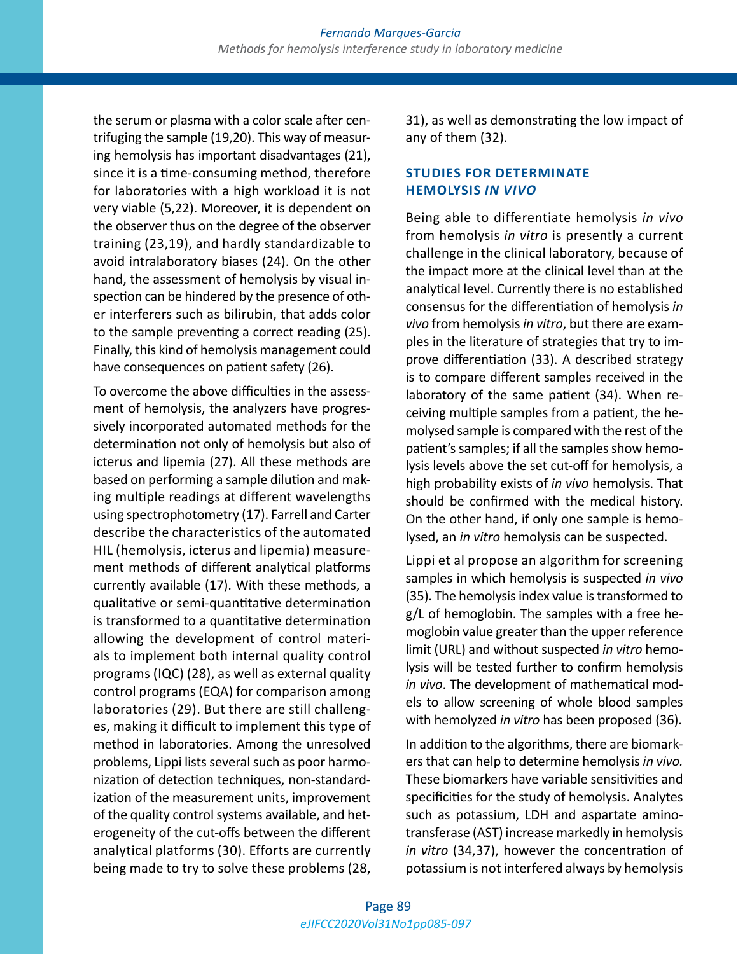the serum or plasma with a color scale after centrifuging the sample (19,20). This way of measuring hemolysis has important disadvantages (21), since it is a time-consuming method, therefore for laboratories with a high workload it is not very viable (5,22). Moreover, it is dependent on the observer thus on the degree of the observer training (23,19), and hardly standardizable to avoid intralaboratory biases (24). On the other hand, the assessment of hemolysis by visual inspection can be hindered by the presence of other interferers such as bilirubin, that adds color to the sample preventing a correct reading (25). Finally, this kind of hemolysis management could have consequences on patient safety (26).

To overcome the above difficulties in the assessment of hemolysis, the analyzers have progressively incorporated automated methods for the determination not only of hemolysis but also of icterus and lipemia (27). All these methods are based on performing a sample dilution and making multiple readings at different wavelengths using spectrophotometry (17). Farrell and Carter describe the characteristics of the automated HIL (hemolysis, icterus and lipemia) measurement methods of different analytical platforms currently available (17). With these methods, a qualitative or semi-quantitative determination is transformed to a quantitative determination allowing the development of control materials to implement both internal quality control programs (IQC) (28), as well as external quality control programs (EQA) for comparison among laboratories (29). But there are still challenges, making it difficult to implement this type of method in laboratories. Among the unresolved problems, Lippi lists several such as poor harmonization of detection techniques, non-standardization of the measurement units, improvement of the quality control systems available, and heterogeneity of the cut-offs between the different analytical platforms (30). Efforts are currently being made to try to solve these problems (28,

31), as well as demonstrating the low impact of any of them (32).

# **STUDIES FOR DETERMINATE HEMOLYSIS** *IN VIVO*

Being able to differentiate hemolysis *in vivo* from hemolysis *in vitro* is presently a current challenge in the clinical laboratory, because of the impact more at the clinical level than at the analytical level. Currently there is no established consensus for the differentiation of hemolysis *in vivo* from hemolysis *in vitro*, but there are examples in the literature of strategies that try to improve differentiation (33). A described strategy is to compare different samples received in the laboratory of the same patient (34). When receiving multiple samples from a patient, the hemolysed sample is compared with the rest of the patient's samples; if all the samples show hemolysis levels above the set cut-off for hemolysis, a high probability exists of *in vivo* hemolysis. That should be confirmed with the medical history. On the other hand, if only one sample is hemolysed, an *in vitro* hemolysis can be suspected.

Lippi et al propose an algorithm for screening samples in which hemolysis is suspected *in vivo* (35). The hemolysis index value is transformed to g/L of hemoglobin. The samples with a free hemoglobin value greater than the upper reference limit (URL) and without suspected *in vitro* hemolysis will be tested further to confirm hemolysis *in vivo*. The development of mathematical models to allow screening of whole blood samples with hemolyzed *in vitro* has been proposed (36).

In addition to the algorithms, there are biomarkers that can help to determine hemolysis *in vivo.* These biomarkers have variable sensitivities and specificities for the study of hemolysis. Analytes such as potassium, LDH and aspartate aminotransferase (AST) increase markedly in hemolysis *in vitro* (34,37), however the concentration of potassium is not interfered always by hemolysis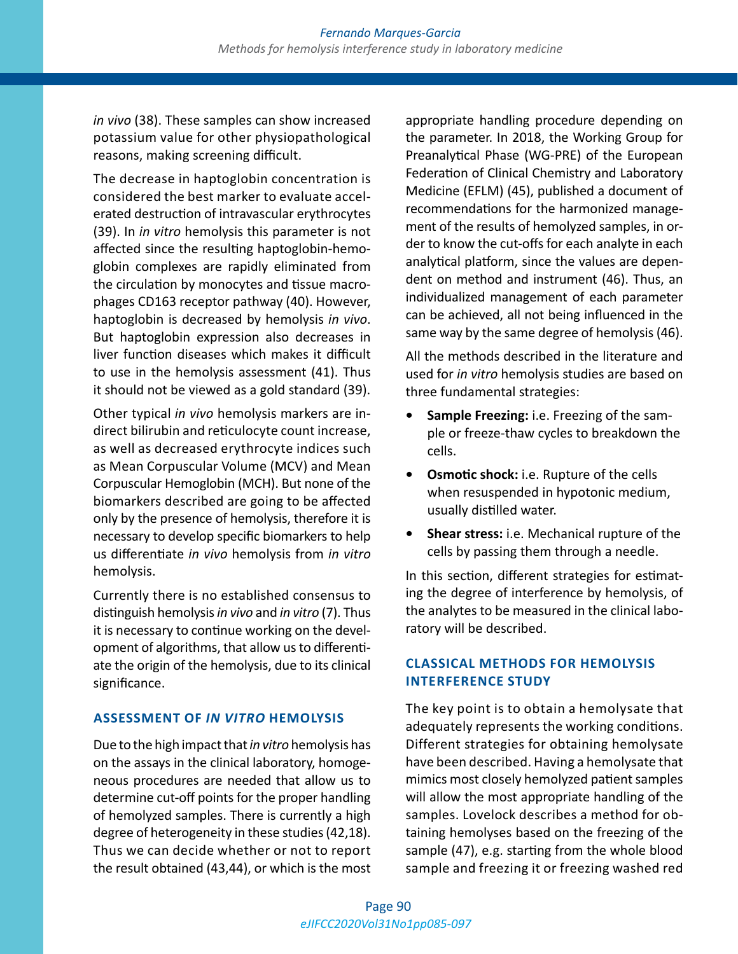*in vivo* (38). These samples can show increased potassium value for other physiopathological reasons, making screening difficult.

The decrease in haptoglobin concentration is considered the best marker to evaluate accelerated destruction of intravascular erythrocytes (39). In *in vitro* hemolysis this parameter is not affected since the resulting haptoglobin-hemoglobin complexes are rapidly eliminated from the circulation by monocytes and tissue macrophages CD163 receptor pathway (40). However, haptoglobin is decreased by hemolysis *in vivo*. But haptoglobin expression also decreases in liver function diseases which makes it difficult to use in the hemolysis assessment (41). Thus it should not be viewed as a gold standard (39).

Other typical *in vivo* hemolysis markers are indirect bilirubin and reticulocyte count increase, as well as decreased erythrocyte indices such as Mean Corpuscular Volume (MCV) and Mean Corpuscular Hemoglobin (MCH). But none of the biomarkers described are going to be affected only by the presence of hemolysis, therefore it is necessary to develop specific biomarkers to help us differentiate *in vivo* hemolysis from *in vitro* hemolysis.

Currently there is no established consensus to distinguish hemolysis *in vivo* and *in vitro* (7). Thus it is necessary to continue working on the development of algorithms, that allow us to differentiate the origin of the hemolysis, due to its clinical significance.

### **ASSESSMENT OF** *IN VITRO* **HEMOLYSIS**

Due to the high impact that *in vitro* hemolysis has on the assays in the clinical laboratory, homogeneous procedures are needed that allow us to determine cut-off points for the proper handling of hemolyzed samples. There is currently a high degree of heterogeneity in these studies (42,18). Thus we can decide whether or not to report the result obtained (43,44), or which is the most appropriate handling procedure depending on the parameter. In 2018, the Working Group for Preanalytical Phase (WG-PRE) of the European Federation of Clinical Chemistry and Laboratory Medicine (EFLM) (45), published a document of recommendations for the harmonized management of the results of hemolyzed samples, in order to know the cut-offs for each analyte in each analytical platform, since the values are dependent on method and instrument (46). Thus, an individualized management of each parameter can be achieved, all not being influenced in the same way by the same degree of hemolysis (46).

All the methods described in the literature and used for *in vitro* hemolysis studies are based on three fundamental strategies:

- **• Sample Freezing:** i.e. Freezing of the sample or freeze-thaw cycles to breakdown the cells.
- **• Osmotic shock:** i.e. Rupture of the cells when resuspended in hypotonic medium, usually distilled water.
- **• Shear stress:** i.e. Mechanical rupture of the cells by passing them through a needle.

In this section, different strategies for estimating the degree of interference by hemolysis, of the analytes to be measured in the clinical laboratory will be described.

# **CLASSICAL METHODS FOR HEMOLYSIS INTERFERENCE STUDY**

The key point is to obtain a hemolysate that adequately represents the working conditions. Different strategies for obtaining hemolysate have been described. Having a hemolysate that mimics most closely hemolyzed patient samples will allow the most appropriate handling of the samples. Lovelock describes a method for obtaining hemolyses based on the freezing of the sample (47), e.g. starting from the whole blood sample and freezing it or freezing washed red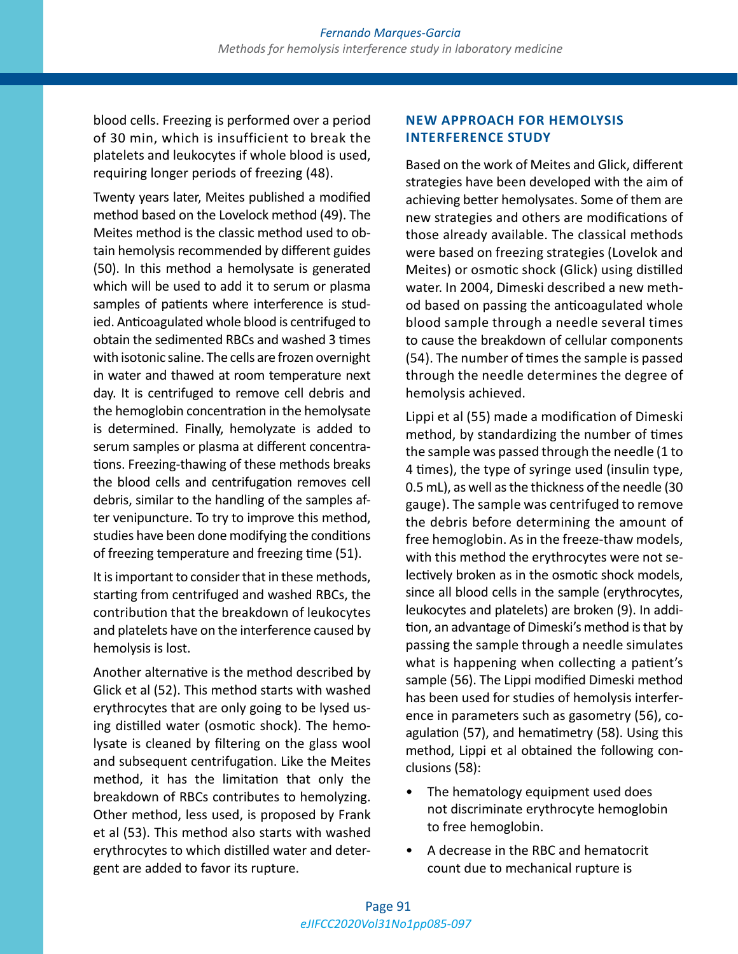blood cells. Freezing is performed over a period of 30 min, which is insufficient to break the platelets and leukocytes if whole blood is used, requiring longer periods of freezing (48).

Twenty years later, Meites published a modified method based on the Lovelock method (49). The Meites method is the classic method used to obtain hemolysis recommended by different guides (50). In this method a hemolysate is generated which will be used to add it to serum or plasma samples of patients where interference is studied. Anticoagulated whole blood is centrifuged to obtain the sedimented RBCs and washed 3 times with isotonic saline. The cells are frozen overnight in water and thawed at room temperature next day. It is centrifuged to remove cell debris and the hemoglobin concentration in the hemolysate is determined. Finally, hemolyzate is added to serum samples or plasma at different concentrations. Freezing-thawing of these methods breaks the blood cells and centrifugation removes cell debris, similar to the handling of the samples after venipuncture. To try to improve this method, studies have been done modifying the conditions of freezing temperature and freezing time (51).

It is important to consider that in these methods, starting from centrifuged and washed RBCs, the contribution that the breakdown of leukocytes and platelets have on the interference caused by hemolysis is lost.

Another alternative is the method described by Glick et al (52). This method starts with washed erythrocytes that are only going to be lysed using distilled water (osmotic shock). The hemolysate is cleaned by filtering on the glass wool and subsequent centrifugation. Like the Meites method, it has the limitation that only the breakdown of RBCs contributes to hemolyzing. Other method, less used, is proposed by Frank et al (53). This method also starts with washed erythrocytes to which distilled water and detergent are added to favor its rupture.

# **NEW APPROACH FOR HEMOLYSIS INTERFERENCE STUDY**

Based on the work of Meites and Glick, different strategies have been developed with the aim of achieving better hemolysates. Some of them are new strategies and others are modifications of those already available. The classical methods were based on freezing strategies (Lovelok and Meites) or osmotic shock (Glick) using distilled water. In 2004, Dimeski described a new method based on passing the anticoagulated whole blood sample through a needle several times to cause the breakdown of cellular components (54). The number of times the sample is passed through the needle determines the degree of hemolysis achieved.

Lippi et al (55) made a modification of Dimeski method, by standardizing the number of times the sample was passed through the needle (1 to 4 times), the type of syringe used (insulin type, 0.5 mL), as well as the thickness of the needle (30 gauge). The sample was centrifuged to remove the debris before determining the amount of free hemoglobin. As in the freeze-thaw models, with this method the erythrocytes were not selectively broken as in the osmotic shock models, since all blood cells in the sample (erythrocytes, leukocytes and platelets) are broken (9). In addition, an advantage of Dimeski's method is that by passing the sample through a needle simulates what is happening when collecting a patient's sample (56). The Lippi modified Dimeski method has been used for studies of hemolysis interference in parameters such as gasometry (56), coagulation (57), and hematimetry (58). Using this method, Lippi et al obtained the following conclusions (58):

- The hematology equipment used does not discriminate erythrocyte hemoglobin to free hemoglobin.
- A decrease in the RBC and hematocrit count due to mechanical rupture is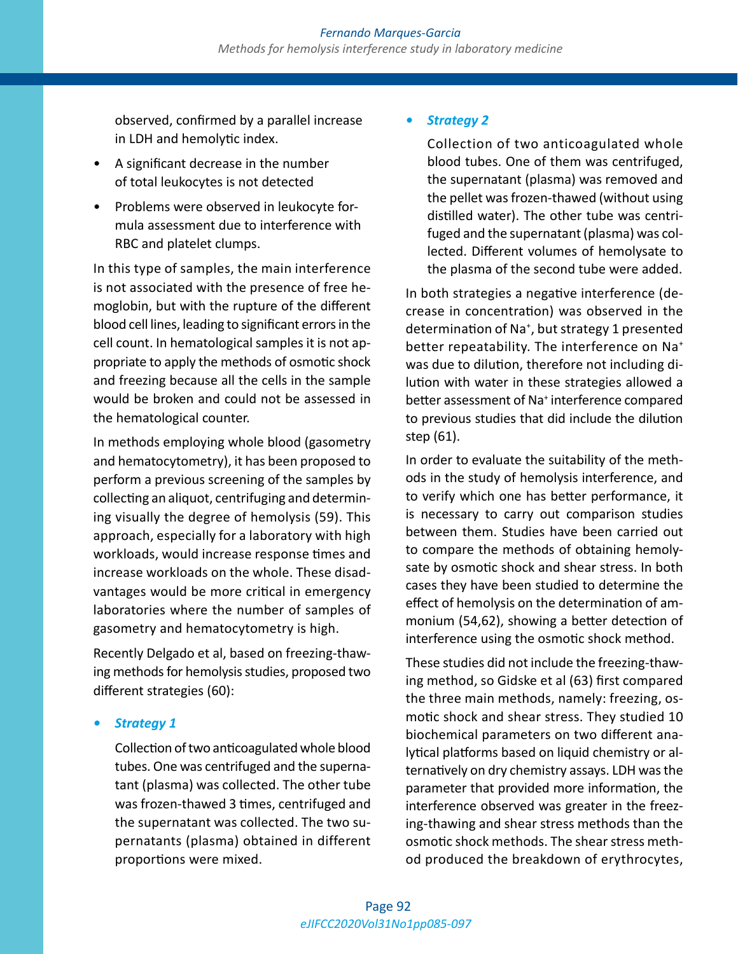observed, confirmed by a parallel increase in LDH and hemolytic index.

- A significant decrease in the number of total leukocytes is not detected
- Problems were observed in leukocyte formula assessment due to interference with RBC and platelet clumps.

In this type of samples, the main interference is not associated with the presence of free hemoglobin, but with the rupture of the different blood cell lines, leading to significant errors in the cell count. In hematological samples it is not appropriate to apply the methods of osmotic shock and freezing because all the cells in the sample would be broken and could not be assessed in the hematological counter.

In methods employing whole blood (gasometry and hematocytometry), it has been proposed to perform a previous screening of the samples by collecting an aliquot, centrifuging and determining visually the degree of hemolysis (59). This approach, especially for a laboratory with high workloads, would increase response times and increase workloads on the whole. These disadvantages would be more critical in emergency laboratories where the number of samples of gasometry and hematocytometry is high.

Recently Delgado et al, based on freezing-thawing methods for hemolysis studies, proposed two different strategies (60):

*• Strategy 1* 

Collection of two anticoagulated whole blood tubes. One was centrifuged and the supernatant (plasma) was collected. The other tube was frozen-thawed 3 times, centrifuged and the supernatant was collected. The two supernatants (plasma) obtained in different proportions were mixed.

# *• Strategy 2*

Collection of two anticoagulated whole blood tubes. One of them was centrifuged, the supernatant (plasma) was removed and the pellet was frozen-thawed (without using distilled water). The other tube was centrifuged and the supernatant (plasma) was collected. Different volumes of hemolysate to the plasma of the second tube were added.

In both strategies a negative interference (decrease in concentration) was observed in the determination of Na<sup>+</sup> , but strategy 1 presented better repeatability. The interference on Na<sup>+</sup> was due to dilution, therefore not including dilution with water in these strategies allowed a better assessment of Na<sup>+</sup> interference compared to previous studies that did include the dilution step (61).

In order to evaluate the suitability of the methods in the study of hemolysis interference, and to verify which one has better performance, it is necessary to carry out comparison studies between them. Studies have been carried out to compare the methods of obtaining hemolysate by osmotic shock and shear stress. In both cases they have been studied to determine the effect of hemolysis on the determination of ammonium (54,62), showing a better detection of interference using the osmotic shock method.

These studies did not include the freezing-thawing method, so Gidske et al (63) first compared the three main methods, namely: freezing, osmotic shock and shear stress. They studied 10 biochemical parameters on two different analytical platforms based on liquid chemistry or alternatively on dry chemistry assays. LDH was the parameter that provided more information, the interference observed was greater in the freezing-thawing and shear stress methods than the osmotic shock methods. The shear stress method produced the breakdown of erythrocytes,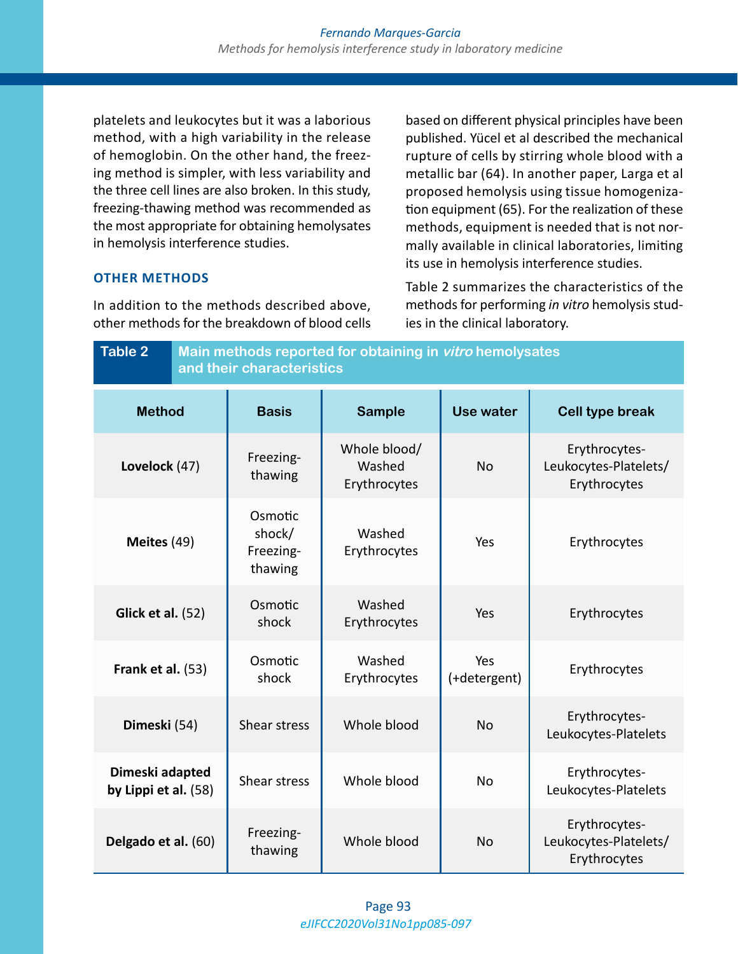platelets and leukocytes but it was a laborious method, with a high variability in the release of hemoglobin. On the other hand, the freezing method is simpler, with less variability and the three cell lines are also broken. In this study, freezing-thawing method was recommended as the most appropriate for obtaining hemolysates in hemolysis interference studies.

**OTHER METHODS**

In addition to the methods described above, other methods for the breakdown of blood cells based on different physical principles have been published. Yücel et al described the mechanical rupture of cells by stirring whole blood with a metallic bar (64). In another paper, Larga et al proposed hemolysis using tissue homogenization equipment (65). For the realization of these methods, equipment is needed that is not normally available in clinical laboratories, limiting its use in hemolysis interference studies.

Table 2 summarizes the characteristics of the methods for performing *in vitro* hemolysis studies in the clinical laboratory.

| <b>Table 2</b>                          |  | Main methods reported for obtaining in vitro hemolysates<br>and their characteristics |                                        |                     |                                                        |  |  |
|-----------------------------------------|--|---------------------------------------------------------------------------------------|----------------------------------------|---------------------|--------------------------------------------------------|--|--|
| <b>Method</b>                           |  | <b>Basis</b>                                                                          | <b>Sample</b>                          | Use water           | <b>Cell type break</b>                                 |  |  |
| Lovelock (47)                           |  | Freezing-<br>thawing                                                                  | Whole blood/<br>Washed<br>Erythrocytes | <b>No</b>           | Erythrocytes-<br>Leukocytes-Platelets/<br>Erythrocytes |  |  |
| Meites (49)                             |  | Osmotic<br>shock/<br>Freezing-<br>thawing                                             | Washed<br>Erythrocytes                 | Yes                 | Erythrocytes                                           |  |  |
| <b>Glick et al. (52)</b>                |  | Osmotic<br>shock                                                                      | Washed<br>Erythrocytes                 | Yes                 | Erythrocytes                                           |  |  |
| Frank et al. (53)                       |  | Osmotic<br>shock                                                                      | Washed<br>Erythrocytes                 | Yes<br>(+detergent) | Erythrocytes                                           |  |  |
| Dimeski (54)                            |  | Shear stress                                                                          | Whole blood                            | <b>No</b>           | Erythrocytes-<br>Leukocytes-Platelets                  |  |  |
| Dimeski adapted<br>by Lippi et al. (58) |  | Shear stress                                                                          | Whole blood                            | <b>No</b>           | Erythrocytes-<br>Leukocytes-Platelets                  |  |  |
| Delgado et al. (60)                     |  | Freezing-<br>thawing                                                                  | Whole blood                            | <b>No</b>           | Erythrocytes-<br>Leukocytes-Platelets/<br>Erythrocytes |  |  |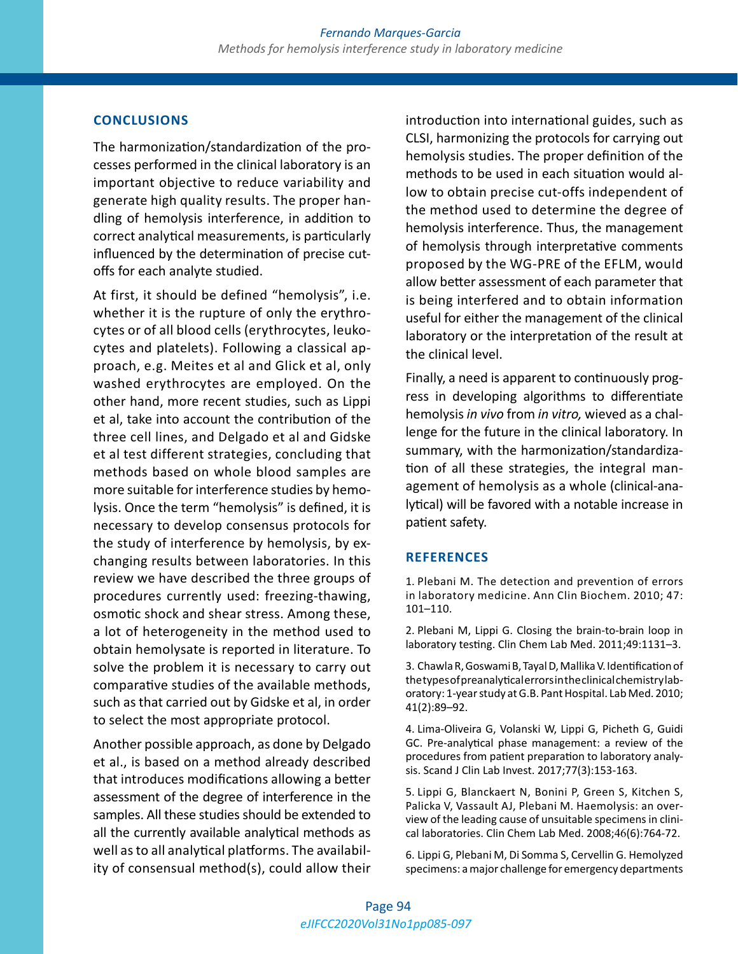### **CONCLUSIONS**

The harmonization/standardization of the processes performed in the clinical laboratory is an important objective to reduce variability and generate high quality results. The proper handling of hemolysis interference, in addition to correct analytical measurements, is particularly influenced by the determination of precise cutoffs for each analyte studied.

At first, it should be defined "hemolysis", i.e. whether it is the rupture of only the erythrocytes or of all blood cells (erythrocytes, leukocytes and platelets). Following a classical approach, e.g. Meites et al and Glick et al, only washed erythrocytes are employed. On the other hand, more recent studies, such as Lippi et al, take into account the contribution of the three cell lines, and Delgado et al and Gidske et al test different strategies, concluding that methods based on whole blood samples are more suitable for interference studies by hemolysis. Once the term "hemolysis" is defined, it is necessary to develop consensus protocols for the study of interference by hemolysis, by exchanging results between laboratories. In this review we have described the three groups of procedures currently used: freezing-thawing, osmotic shock and shear stress. Among these, a lot of heterogeneity in the method used to obtain hemolysate is reported in literature. To solve the problem it is necessary to carry out comparative studies of the available methods, such as that carried out by Gidske et al, in order to select the most appropriate protocol.

Another possible approach, as done by Delgado et al., is based on a method already described that introduces modifications allowing a better assessment of the degree of interference in the samples. All these studies should be extended to all the currently available analytical methods as well as to all analytical platforms. The availability of consensual method(s), could allow their

introduction into international guides, such as CLSI, harmonizing the protocols for carrying out hemolysis studies. The proper definition of the methods to be used in each situation would allow to obtain precise cut-offs independent of the method used to determine the degree of hemolysis interference. Thus, the management of hemolysis through interpretative comments proposed by the WG-PRE of the EFLM, would allow better assessment of each parameter that is being interfered and to obtain information useful for either the management of the clinical laboratory or the interpretation of the result at the clinical level.

Finally, a need is apparent to continuously progress in developing algorithms to differentiate hemolysis *in vivo* from *in vitro,* wieved as a challenge for the future in the clinical laboratory. In summary, with the harmonization/standardization of all these strategies, the integral management of hemolysis as a whole (clinical-analytical) will be favored with a notable increase in patient safety.

#### **REFERENCES**

1. Plebani M. The detection and prevention of errors in laboratory medicine. Ann Clin Biochem. 2010; 47: 101–110.

2. Plebani M, Lippi G. Closing the brain-to-brain loop in laboratory testing. Clin Chem Lab Med. 2011;49:1131–3.

3. Chawla R, Goswami B, Tayal D, Mallika V. Identification of the types of preanalytical errors in the clinical chemistry laboratory: 1-year study at G.B. Pant Hospital. Lab Med. 2010; 41(2):89–92.

4. Lima-Oliveira G, Volanski W, Lippi G, Picheth G, Guidi GC. Pre-analytical phase management: a review of the procedures from patient preparation to laboratory analysis. Scand J Clin Lab Invest. 2017;77(3):153-163.

5. Lippi G, Blanckaert N, Bonini P, Green S, Kitchen S, Palicka V, Vassault AJ, Plebani M. Haemolysis: an overview of the leading cause of unsuitable specimens in clinical laboratories. Clin Chem Lab Med. 2008;46(6):764-72.

6. Lippi G, Plebani M, Di Somma S, Cervellin G. Hemolyzed specimens: a major challenge for emergency departments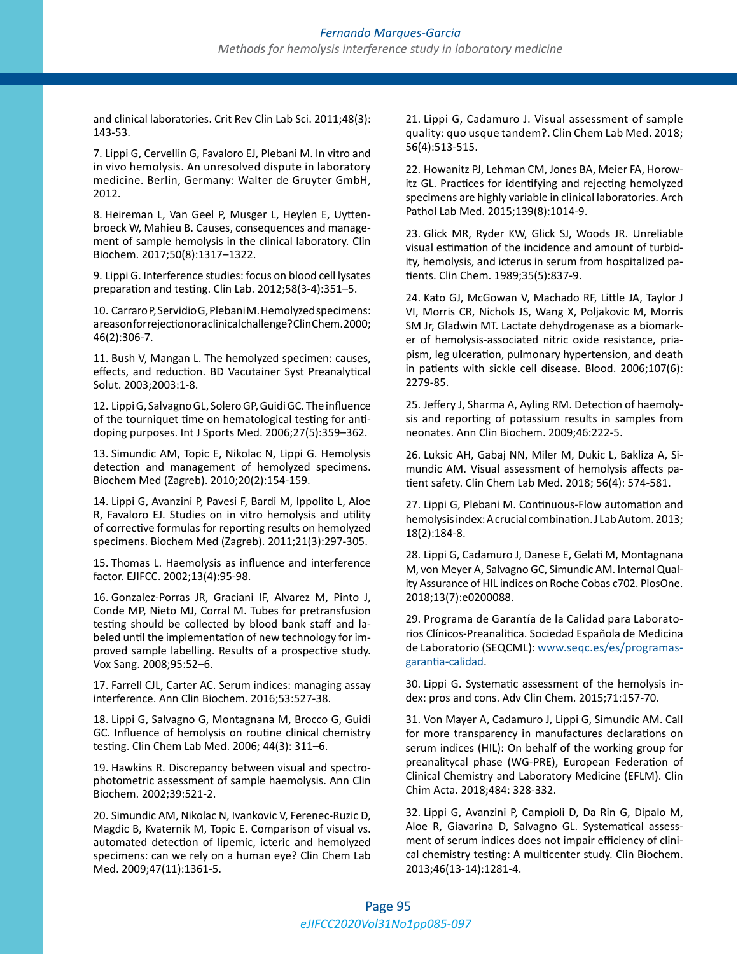and clinical laboratories. Crit Rev Clin Lab Sci. 2011;48(3): 143-53.

7. Lippi G, Cervellin G, Favaloro EJ, Plebani M. In vitro and in vivo hemolysis. An unresolved dispute in laboratory medicine. Berlin, Germany: Walter de Gruyter GmbH, 2012.

8. Heireman L, Van Geel P, Musger L, Heylen E, Uyttenbroeck W, Mahieu B. Causes, consequences and management of sample hemolysis in the clinical laboratory. Clin Biochem. 2017;50(8):1317–1322.

9. Lippi G. Interference studies: focus on blood cell lysates preparation and testing. Clin Lab. 2012;58(3-4):351–5.

10. Carraro P, Servidio G, Plebani M.Hemolyzed specimens: a reason for rejection or a clinical challenge? Clin Chem. 2000; 46(2):306-7.

11. Bush V, Mangan L. The hemolyzed specimen: causes, effects, and reduction. BD Vacutainer Syst Preanalytical Solut. 2003;2003:1-8.

12. Lippi G, Salvagno GL, Solero GP, Guidi GC. The influence of the tourniquet time on hematological testing for antidoping purposes. Int J Sports Med. 2006;27(5):359–362.

13. Simundic AM, Topic E, Nikolac N, Lippi G. Hemolysis detection and management of hemolyzed specimens. Biochem Med (Zagreb). 2010;20(2):154-159.

14. Lippi G, Avanzini P, Pavesi F, Bardi M, Ippolito L, Aloe R, Favaloro EJ. Studies on in vitro hemolysis and utility of corrective formulas for reporting results on hemolyzed specimens. Biochem Med (Zagreb). 2011;21(3):297-305.

15. Thomas L. Haemolysis as influence and interference factor. EJIFCC. 2002;13(4):95-98.

16. Gonzalez-Porras JR, Graciani IF, Alvarez M, Pinto J, Conde MP, Nieto MJ, Corral M. Tubes for pretransfusion testing should be collected by blood bank staff and labeled until the implementation of new technology for improved sample labelling. Results of a prospective study. Vox Sang. 2008;95:52–6.

17. Farrell CJL, Carter AC. Serum indices: managing assay interference. Ann Clin Biochem. 2016;53:527-38.

18. Lippi G, Salvagno G, Montagnana M, Brocco G, Guidi GC. Influence of hemolysis on routine clinical chemistry testing. Clin Chem Lab Med. 2006; 44(3): 311–6.

19. Hawkins R. Discrepancy between visual and spectrophotometric assessment of sample haemolysis. Ann Clin Biochem. 2002;39:521-2.

20. Simundic AM, Nikolac N, Ivankovic V, Ferenec-Ruzic D, Magdic B, Kvaternik M, Topic E. Comparison of visual vs. automated detection of lipemic, icteric and hemolyzed specimens: can we rely on a human eye? Clin Chem Lab Med. 2009;47(11):1361-5.

21. Lippi G, Cadamuro J. Visual assessment of sample quality: quo usque tandem?. Clin Chem Lab Med. 2018; 56(4):513-515.

22. Howanitz PJ, Lehman CM, Jones BA, Meier FA, Horowitz GL. Practices for identifying and rejecting hemolyzed specimens are highly variable in clinical laboratories. Arch Pathol Lab Med. 2015;139(8):1014-9.

23. Glick MR, Ryder KW, Glick SJ, Woods JR. Unreliable visual estimation of the incidence and amount of turbidity, hemolysis, and icterus in serum from hospitalized patients. Clin Chem. 1989;35(5):837-9.

24. Kato GJ, McGowan V, Machado RF, Little JA, Taylor J VI, Morris CR, Nichols JS, Wang X, Poljakovic M, Morris SM Jr, Gladwin MT. Lactate dehydrogenase as a biomarker of hemolysis-associated nitric oxide resistance, priapism, leg ulceration, pulmonary hypertension, and death in patients with sickle cell disease. Blood. 2006;107(6): 2279-85.

25. Jeffery J, Sharma A, Ayling RM. Detection of haemolysis and reporting of potassium results in samples from neonates. Ann Clin Biochem. 2009;46:222-5.

26. Luksic AH, Gabaj NN, Miler M, Dukic L, Bakliza A, Simundic AM. Visual assessment of hemolysis affects patient safety. Clin Chem Lab Med. 2018; 56(4): 574-581.

27. Lippi G, Plebani M. Continuous-Flow automation and hemolysis index: A crucial combination. J Lab Autom. 2013; 18(2):184-8.

28. Lippi G, Cadamuro J, Danese E, Gelati M, Montagnana M, von Meyer A, Salvagno GC, Simundic AM. Internal Quality Assurance of HIL indices on Roche Cobas c702. PlosOne. 2018;13(7):e0200088.

29. Programa de Garantía de la Calidad para Laboratorios Clínicos-Preanalitica. Sociedad Española de Medicina de Laboratorio (SEQCML): [www.seqc.es/es/programas](http://www.seqc.es/es/programas-garantia-calidad)[garantia-calidad](http://www.seqc.es/es/programas-garantia-calidad).

30. Lippi G. Systematic assessment of the hemolysis index: pros and cons. Adv Clin Chem. 2015;71:157-70.

31. Von Mayer A, Cadamuro J, Lippi G, Simundic AM. Call for more transparency in manufactures declarations on serum indices (HIL): On behalf of the working group for preanalitycal phase (WG-PRE), European Federation of Clinical Chemistry and Laboratory Medicine (EFLM). Clin Chim Acta. 2018;484: 328-332.

32. Lippi G, Avanzini P, Campioli D, Da Rin G, Dipalo M, Aloe R, Giavarina D, Salvagno GL. Systematical assessment of serum indices does not impair efficiency of clinical chemistry testing: A multicenter study. Clin Biochem. 2013;46(13-14):1281-4.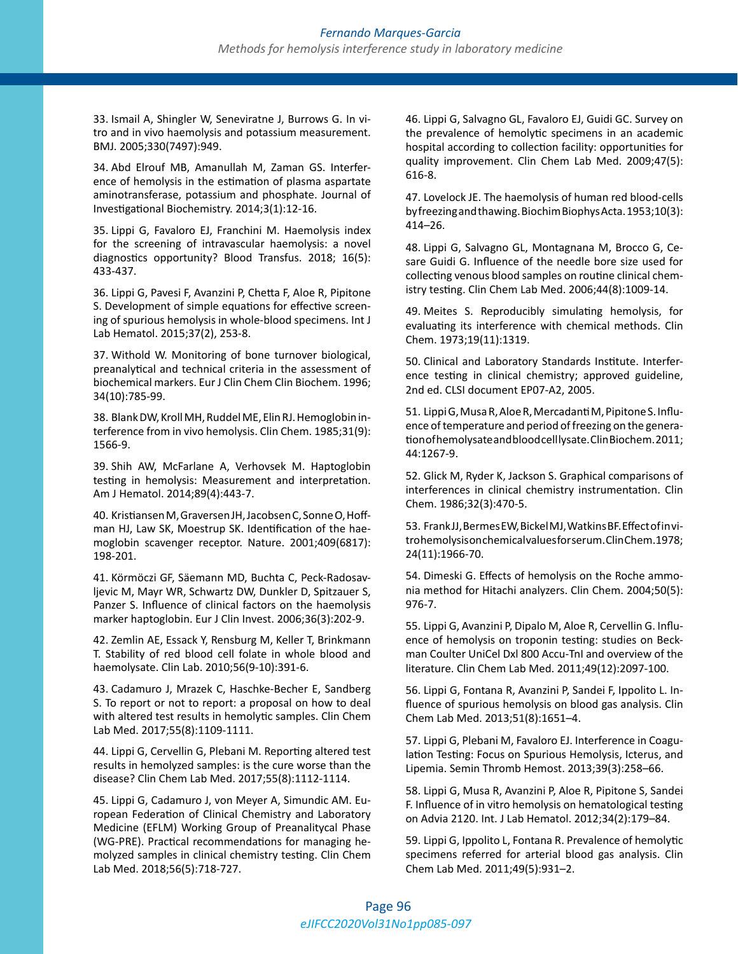33. Ismail A, Shingler W, Seneviratne J, Burrows G. In vitro and in vivo haemolysis and potassium measurement. BMJ. 2005;330(7497):949.

34. Abd Elrouf MB, Amanullah M, Zaman GS. Interference of hemolysis in the estimation of plasma aspartate aminotransferase, potassium and phosphate. Journal of Investigational Biochemistry. 2014;3(1):12-16.

35. Lippi G, Favaloro EJ, Franchini M. Haemolysis index for the screening of intravascular haemolysis: a novel diagnostics opportunity? Blood Transfus. 2018; 16(5): 433-437.

36. Lippi G, Pavesi F, Avanzini P, Chetta F, Aloe R, Pipitone S. Development of simple equations for effective screening of spurious hemolysis in whole-blood specimens. Int J Lab Hematol. 2015;37(2), 253-8.

37. Withold W. Monitoring of bone turnover biological, preanalytical and technical criteria in the assessment of biochemical markers. Eur J Clin Chem Clin Biochem. 1996; 34(10):785-99.

38. Blank DW, Kroll MH, Ruddel ME, Elin RJ. Hemoglobin interference from in vivo hemolysis. Clin Chem. 1985;31(9): 1566-9.

39. Shih AW, McFarlane A, Verhovsek M. Haptoglobin testing in hemolysis: Measurement and interpretation. Am J Hematol. 2014;89(4):443-7.

40. Kristiansen M, Graversen JH, Jacobsen C, Sonne O, Hoffman HJ, Law SK, Moestrup SK. Identification of the haemoglobin scavenger receptor. Nature. 2001;409(6817): 198-201.

41. Körmöczi GF, Säemann MD, Buchta C, Peck-Radosavljevic M, Mayr WR, Schwartz DW, Dunkler D, Spitzauer S, Panzer S. Influence of clinical factors on the haemolysis marker haptoglobin. Eur J Clin Invest. 2006;36(3):202-9.

42. Zemlin AE, Essack Y, Rensburg M, Keller T, Brinkmann T. Stability of red blood cell folate in whole blood and haemolysate. Clin Lab. 2010;56(9-10):391-6.

43. Cadamuro J, Mrazek C, Haschke-Becher E, Sandberg S. To report or not to report: a proposal on how to deal with altered test results in hemolytic samples. Clin Chem Lab Med. 2017;55(8):1109-1111.

44. Lippi G, Cervellin G, Plebani M. Reporting altered test results in hemolyzed samples: is the cure worse than the disease? Clin Chem Lab Med. 2017;55(8):1112-1114.

45. Lippi G, Cadamuro J, von Meyer A, Simundic AM. European Federation of Clinical Chemistry and Laboratory Medicine (EFLM) Working Group of Preanalitycal Phase (WG-PRE). Practical recommendations for managing hemolyzed samples in clinical chemistry testing. Clin Chem Lab Med. 2018;56(5):718-727.

46. Lippi G, Salvagno GL, Favaloro EJ, Guidi GC. Survey on the prevalence of hemolytic specimens in an academic hospital according to collection facility: opportunities for quality improvement. Clin Chem Lab Med. 2009;47(5): 616-8.

47. Lovelock JE. The haemolysis of human red blood-cells by freezing and thawing. Biochim Biophys Acta. 1953;10(3): 414–26.

48. Lippi G, Salvagno GL, Montagnana M, Brocco G, Cesare Guidi G. Influence of the needle bore size used for collecting venous blood samples on routine clinical chemistry testing. Clin Chem Lab Med. 2006;44(8):1009-14.

49. Meites S. Reproducibly simulating hemolysis, for evaluating its interference with chemical methods. Clin Chem. 1973;19(11):1319.

50. Clinical and Laboratory Standards Institute. Interference testing in clinical chemistry; approved guideline, 2nd ed. CLSI document EP07-A2, 2005.

51. Lippi G, Musa R, Aloe R, Mercadanti M, Pipitone S. Influence of temperature and period of freezing on the generation of hemolysate and blood cell lysate. Clin Biochem. 2011; 44:1267-9.

52. Glick M, Ryder K, Jackson S. Graphical comparisons of interferences in clinical chemistry instrumentation. Clin Chem. 1986;32(3):470-5.

53. Frank JJ, Bermes EW, Bickel MJ, Watkins BF. Effect of in vitro hemolysis on chemical values for serum. Clin Chem.1978; 24(11):1966-70.

54. Dimeski G. Effects of hemolysis on the Roche ammonia method for Hitachi analyzers. Clin Chem. 2004;50(5): 976-7.

55. Lippi G, Avanzini P, Dipalo M, Aloe R, Cervellin G. Influence of hemolysis on troponin testing: studies on Beckman Coulter UniCel Dxl 800 Accu-TnI and overview of the literature. Clin Chem Lab Med. 2011;49(12):2097-100.

56. Lippi G, Fontana R, Avanzini P, Sandei F, Ippolito L. Influence of spurious hemolysis on blood gas analysis. Clin Chem Lab Med. 2013;51(8):1651–4.

57. Lippi G, Plebani M, Favaloro EJ. Interference in Coagulation Testing: Focus on Spurious Hemolysis, Icterus, and Lipemia. Semin Thromb Hemost. 2013;39(3):258–66.

58. Lippi G, Musa R, Avanzini P, Aloe R, Pipitone S, Sandei F. Influence of in vitro hemolysis on hematological testing on Advia 2120. Int. J Lab Hematol. 2012;34(2):179–84.

59. Lippi G, Ippolito L, Fontana R. Prevalence of hemolytic specimens referred for arterial blood gas analysis. Clin Chem Lab Med. 2011;49(5):931–2.